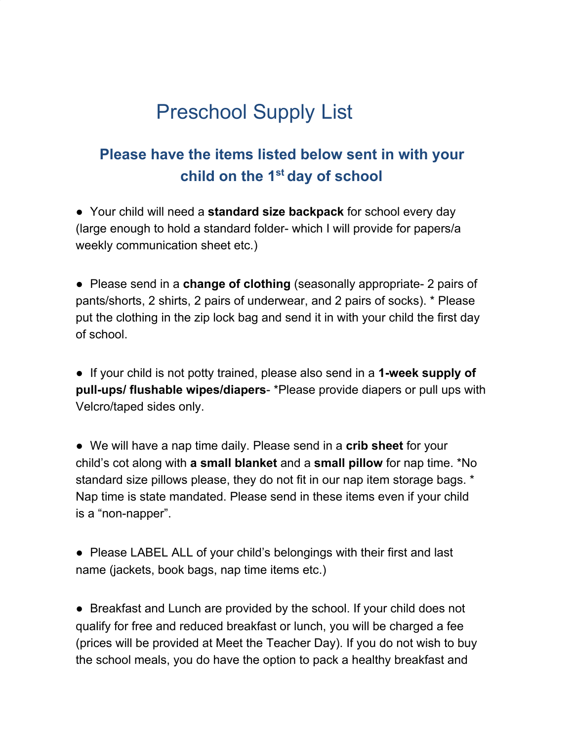## Preschool Supply List

## **Please have the items listed below sent in with your child on the 1 st day of school**

● Your child will need a **standard size backpack** for school every day (large enough to hold a standard folder- which I will provide for papers/a weekly communication sheet etc.)

● Please send in a **change of clothing** (seasonally appropriate- 2 pairs of pants/shorts, 2 shirts, 2 pairs of underwear, and 2 pairs of socks). \* Please put the clothing in the zip lock bag and send it in with your child the first day of school.

● If your child is not potty trained, please also send in a **1-week supply of pull-ups/ flushable wipes/diapers**- \*Please provide diapers or pull ups with Velcro/taped sides only.

● We will have a nap time daily. Please send in a **crib sheet** for your child's cot along with **a small blanket** and a **small pillow** for nap time. \*No standard size pillows please, they do not fit in our nap item storage bags. \* Nap time is state mandated. Please send in these items even if your child is a "non-napper".

● Please LABEL ALL of your child's belongings with their first and last name (jackets, book bags, nap time items etc.)

• Breakfast and Lunch are provided by the school. If your child does not qualify for free and reduced breakfast or lunch, you will be charged a fee (prices will be provided at Meet the Teacher Day). If you do not wish to buy the school meals, you do have the option to pack a healthy breakfast and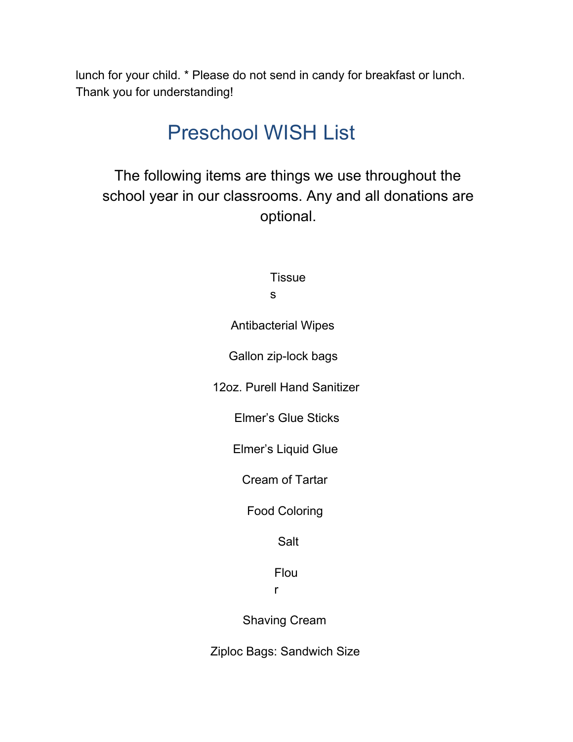lunch for your child. \* Please do not send in candy for breakfast or lunch. Thank you for understanding!

## Preschool WISH List

The following items are things we use throughout the school year in our classrooms. Any and all donations are optional.

> **Tissue** s

Antibacterial Wipes

Gallon zip-lock bags

12oz. Purell Hand Sanitizer

Elmer's Glue Sticks

Elmer's Liquid Glue

Cream of Tartar

Food Coloring

Salt

Flou

r

Shaving Cream

Ziploc Bags: Sandwich Size